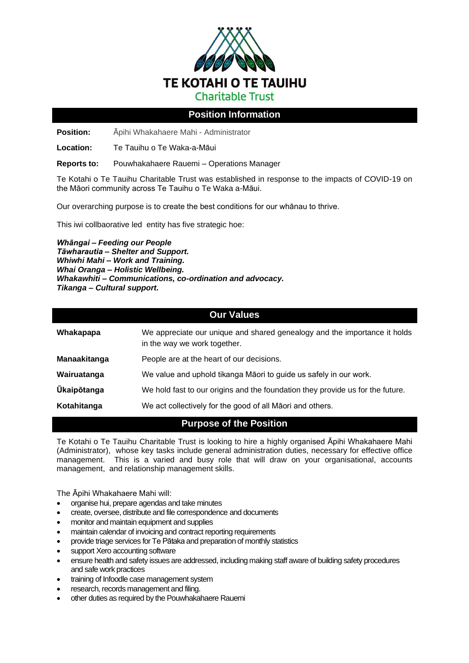

## **Position Information**

**Position:** Āpihi Whakahaere Mahi - Administrator

**Location:** Te Tauihu o Te Waka-a-Māui

**Reports to:** Pouwhakahaere Rauemi – Operations Manager

Te Kotahi o Te Tauihu Charitable Trust was established in response to the impacts of COVID-19 on the Māori community across Te Tauihu o Te Waka a-Māui.

Our overarching purpose is to create the best conditions for our whānau to thrive.

This iwi collbaorative led entity has five strategic hoe:

*Whāngai – Feeding our People Tāwharautia – Shelter and Support. Whiwhi Mahi – Work and Training. Whai Oranga – Holistic Wellbeing. Whakawhiti – Communications, co-ordination and advocacy. Tikanga – Cultural support.*

## **Our Values**

| Whakapapa          | We appreciate our unique and shared genealogy and the importance it holds<br>in the way we work together. |
|--------------------|-----------------------------------------------------------------------------------------------------------|
| Manaakitanga       | People are at the heart of our decisions.                                                                 |
| Wairuatanga        | We value and uphold tikanga Māori to guide us safely in our work.                                         |
| <b>Ūkaipōtanga</b> | We hold fast to our origins and the foundation they provide us for the future.                            |
| Kotahitanga        | We act collectively for the good of all Maori and others.                                                 |

# **Purpose of the Position**

Te Kotahi o Te Tauihu Charitable Trust is looking to hire a highly organised Āpihi Whakahaere Mahi (Administrator), whose key tasks include general administration duties, necessary for effective office management. This is a varied and busy role that will draw on your organisational, accounts management, and relationship management skills.

The Āpihi Whakahaere Mahi will:

- organise hui, prepare agendas and take minutes
- create, oversee, distribute and file correspondence and documents
- monitor and maintain equipment and supplies
- maintain calendar of invoicing and contract reporting requirements
- provide triage services for Te Pātaka and preparation of monthly statistics
- support Xero accounting software
- ensure health and safety issues are addressed, including making staff aware of building safety procedures and safe work practices
- training of Infoodle case management system
- research, records management and filing.
- other duties as required by the Pouwhakahaere Rauemi